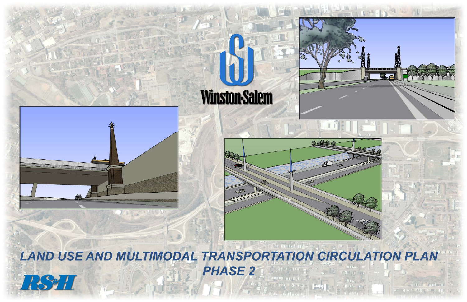



**LAND USE AND MULTIMODAL TRANSPORTATION CIRCULATION PLAN PHASE 2 RSHI**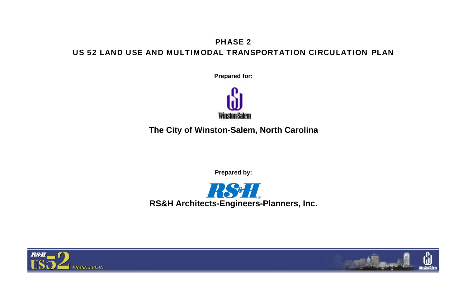## PHASE 2 US 52 LAND USE AND MULTIMODAL TRANSPORTATION CIRCULATION PLAN

**Prepared for:** 



1891. **RS&H Architects-Engineers-Planners, Inc.** 





**The City of Winston-Salem, North Carolina** 

**Prepared by:**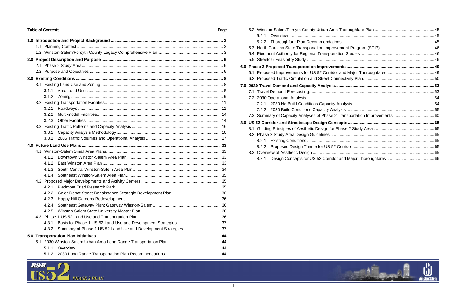1



| <b>Table of Contents</b><br>Page |  |       |  |  |  |  |
|----------------------------------|--|-------|--|--|--|--|
|                                  |  |       |  |  |  |  |
|                                  |  |       |  |  |  |  |
|                                  |  |       |  |  |  |  |
|                                  |  |       |  |  |  |  |
|                                  |  |       |  |  |  |  |
|                                  |  |       |  |  |  |  |
|                                  |  |       |  |  |  |  |
|                                  |  |       |  |  |  |  |
|                                  |  |       |  |  |  |  |
|                                  |  | 3.1.2 |  |  |  |  |
|                                  |  |       |  |  |  |  |
|                                  |  | 3.2.1 |  |  |  |  |
|                                  |  | 3.2.2 |  |  |  |  |
|                                  |  | 3.2.3 |  |  |  |  |
|                                  |  |       |  |  |  |  |
|                                  |  | 3.3.1 |  |  |  |  |
|                                  |  | 3.3.2 |  |  |  |  |
|                                  |  |       |  |  |  |  |
|                                  |  |       |  |  |  |  |
|                                  |  | 4.1.1 |  |  |  |  |
|                                  |  | 4.1.2 |  |  |  |  |
|                                  |  | 4.1.3 |  |  |  |  |
|                                  |  | 4.1.4 |  |  |  |  |
|                                  |  |       |  |  |  |  |
|                                  |  | 4.2.1 |  |  |  |  |
|                                  |  | 4.2.2 |  |  |  |  |
|                                  |  | 4.2.3 |  |  |  |  |
|                                  |  | 4.2.4 |  |  |  |  |
|                                  |  | 4.2.5 |  |  |  |  |
|                                  |  |       |  |  |  |  |
|                                  |  | 4.3.1 |  |  |  |  |
|                                  |  | 4.3.2 |  |  |  |  |
|                                  |  |       |  |  |  |  |
|                                  |  |       |  |  |  |  |
|                                  |  | 5.1.1 |  |  |  |  |
|                                  |  | 5.1.2 |  |  |  |  |

| 5.2.1 |                                                                            |  |  |  |
|-------|----------------------------------------------------------------------------|--|--|--|
|       |                                                                            |  |  |  |
|       |                                                                            |  |  |  |
|       |                                                                            |  |  |  |
|       |                                                                            |  |  |  |
|       |                                                                            |  |  |  |
|       |                                                                            |  |  |  |
|       |                                                                            |  |  |  |
|       |                                                                            |  |  |  |
|       |                                                                            |  |  |  |
|       |                                                                            |  |  |  |
|       |                                                                            |  |  |  |
|       |                                                                            |  |  |  |
|       | 7.3 Summary of Capacity Analyses of Phase 2 Transportation Improvements 60 |  |  |  |
|       |                                                                            |  |  |  |
|       |                                                                            |  |  |  |
|       |                                                                            |  |  |  |
| 8.2.1 |                                                                            |  |  |  |
|       |                                                                            |  |  |  |
|       |                                                                            |  |  |  |
|       |                                                                            |  |  |  |



## **6.0 Phase 2 Proposed Transportation Improvements ........................................................................... 49 7.0 2030 Travel Demand and Capacity Analysis ..................................................................................... 53 8.0 US 52 Corridor and Streetscape Design Concepts .......................................................................... 65**